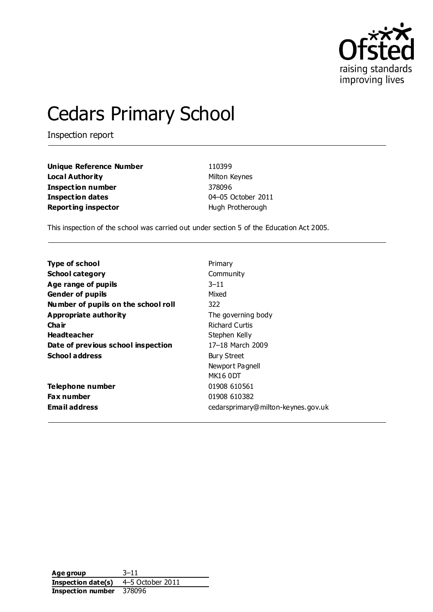

# Cedars Primary School

Inspection report

| <b>Unique Reference Number</b> | 110399            |
|--------------------------------|-------------------|
| Local Authority                | Milton Keynes     |
| Inspection number              | 378096            |
| <b>Inspection dates</b>        | 04-05 October 201 |
| <b>Reporting inspector</b>     | Hugh Protherough  |

**Unique Reference Number** 110399 **Milton Keynes Inspection number** 378096 **Inspection dates** 04–05 October 2011

This inspection of the school was carried out under section 5 of the Education Act 2005.

| <b>Type of school</b>               | Primary                            |
|-------------------------------------|------------------------------------|
| <b>School category</b>              | Community                          |
| Age range of pupils                 | $3 - 11$                           |
| <b>Gender of pupils</b>             | Mixed                              |
| Number of pupils on the school roll | 322                                |
| Appropriate authority               | The governing body                 |
| Cha ir                              | <b>Richard Curtis</b>              |
| <b>Headteacher</b>                  | Stephen Kelly                      |
| Date of previous school inspection  | 17-18 March 2009                   |
| <b>School address</b>               | <b>Bury Street</b>                 |
|                                     | Newport Pagnell                    |
|                                     | MK16 ODT                           |
| Telephone number                    | 01908 610561                       |
| <b>Fax number</b>                   | 01908 610382                       |
| <b>Email address</b>                | cedarsprimary@milton-keynes.gov.uk |

**Age group** 3–11 **Inspection date(s)** 4–5 October 2011 **Inspection number** 378096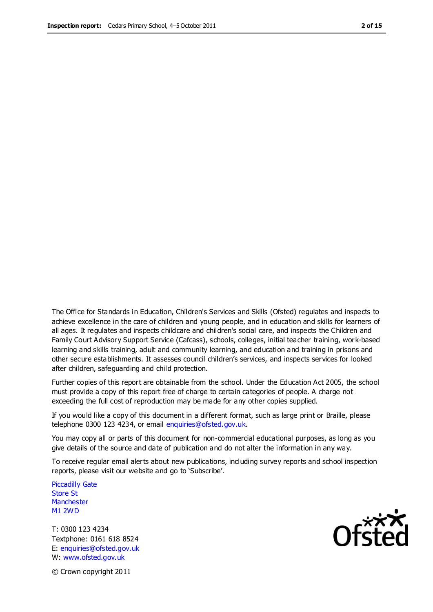The Office for Standards in Education, Children's Services and Skills (Ofsted) regulates and inspects to achieve excellence in the care of children and young people, and in education and skills for learners of all ages. It regulates and inspects childcare and children's social care, and inspects the Children and Family Court Advisory Support Service (Cafcass), schools, colleges, initial teacher training, work-based learning and skills training, adult and community learning, and education and training in prisons and other secure establishments. It assesses council children's services, and inspects services for looked after children, safeguarding and child protection.

Further copies of this report are obtainable from the school. Under the Education Act 2005, the school must provide a copy of this report free of charge to certain categories of people. A charge not exceeding the full cost of reproduction may be made for any other copies supplied.

If you would like a copy of this document in a different format, such as large print or Braille, please telephone 0300 123 4234, or email enquiries@ofsted.gov.uk.

You may copy all or parts of this document for non-commercial educational purposes, as long as you give details of the source and date of publication and do not alter the information in any way.

To receive regular email alerts about new publications, including survey reports and school inspection reports, please visit our website and go to 'Subscribe'.

Piccadilly Gate Store St **Manchester** M1 2WD

T: 0300 123 4234 Textphone: 0161 618 8524 E: enquiries@ofsted.gov.uk W: www.ofsted.gov.uk

**Ofcted** 

© Crown copyright 2011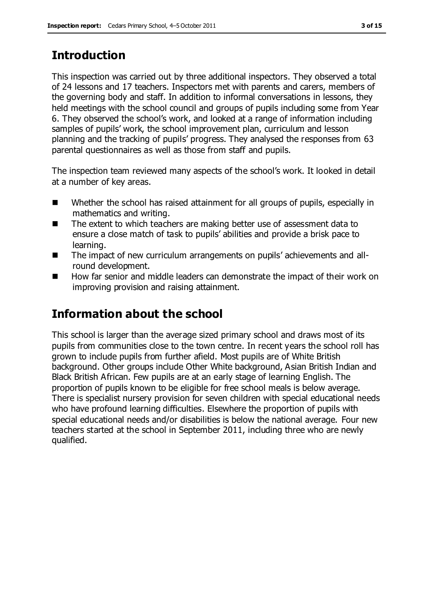# **Introduction**

This inspection was carried out by three additional inspectors. They observed a total of 24 lessons and 17 teachers. Inspectors met with parents and carers, members of the governing body and staff. In addition to informal conversations in lessons, they held meetings with the school council and groups of pupils including some from Year 6. They observed the school's work, and looked at a range of information including samples of pupils' work, the school improvement plan, curriculum and lesson planning and the tracking of pupils' progress. They analysed the responses from 63 parental questionnaires as well as those from staff and pupils.

The inspection team reviewed many aspects of the school's work. It looked in detail at a number of key areas.

- Whether the school has raised attainment for all groups of pupils, especially in mathematics and writing.
- The extent to which teachers are making better use of assessment data to ensure a close match of task to pupils' abilities and provide a brisk pace to learning.
- The impact of new curriculum arrangements on pupils' achievements and allround development.
- How far senior and middle leaders can demonstrate the impact of their work on improving provision and raising attainment.

# **Information about the school**

This school is larger than the average sized primary school and draws most of its pupils from communities close to the town centre. In recent years the school roll has grown to include pupils from further afield. Most pupils are of White British background. Other groups include Other White background, Asian British Indian and Black British African. Few pupils are at an early stage of learning English. The proportion of pupils known to be eligible for free school meals is below average. There is specialist nursery provision for seven children with special educational needs who have profound learning difficulties. Elsewhere the proportion of pupils with special educational needs and/or disabilities is below the national average. Four new teachers started at the school in September 2011, including three who are newly qualified.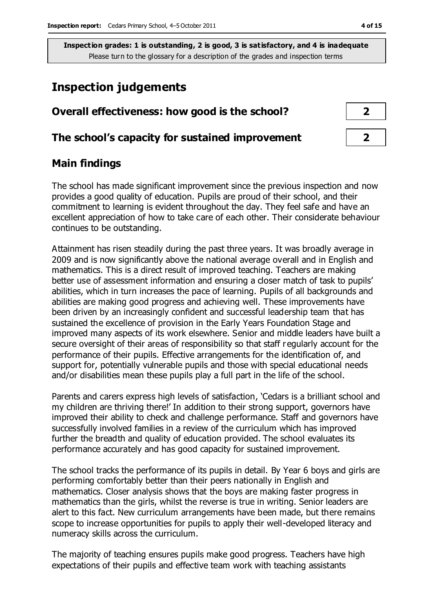## **Inspection judgements**

| Overall effectiveness: how good is the school?  |  |
|-------------------------------------------------|--|
| The school's capacity for sustained improvement |  |

### **Main findings**

The school has made significant improvement since the previous inspection and now provides a good quality of education. Pupils are proud of their school, and their commitment to learning is evident throughout the day. They feel safe and have an excellent appreciation of how to take care of each other. Their considerate behaviour continues to be outstanding.

Attainment has risen steadily during the past three years. It was broadly average in 2009 and is now significantly above the national average overall and in English and mathematics. This is a direct result of improved teaching. Teachers are making better use of assessment information and ensuring a closer match of task to pupils' abilities, which in turn increases the pace of learning. Pupils of all backgrounds and abilities are making good progress and achieving well. These improvements have been driven by an increasingly confident and successful leadership team that has sustained the excellence of provision in the Early Years Foundation Stage and improved many aspects of its work elsewhere. Senior and middle leaders have built a secure oversight of their areas of responsibility so that staff r egularly account for the performance of their pupils. Effective arrangements for the identification of, and support for, potentially vulnerable pupils and those with special educational needs and/or disabilities mean these pupils play a full part in the life of the school.

Parents and carers express high levels of satisfaction, 'Cedars is a brilliant school and my children are thriving there!' In addition to their strong support, governors have improved their ability to check and challenge performance. Staff and governors have successfully involved families in a review of the curriculum which has improved further the breadth and quality of education provided. The school evaluates its performance accurately and has good capacity for sustained improvement.

The school tracks the performance of its pupils in detail. By Year 6 boys and girls are performing comfortably better than their peers nationally in English and mathematics. Closer analysis shows that the boys are making faster progress in mathematics than the girls, whilst the reverse is true in writing. Senior leaders are alert to this fact. New curriculum arrangements have been made, but there remains scope to increase opportunities for pupils to apply their well-developed literacy and numeracy skills across the curriculum.

The majority of teaching ensures pupils make good progress. Teachers have high expectations of their pupils and effective team work with teaching assistants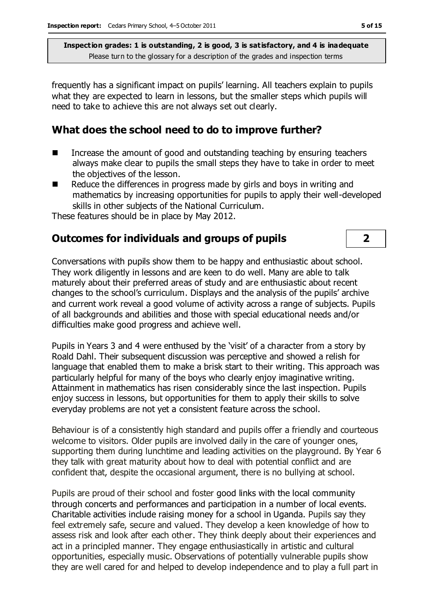frequently has a significant impact on pupils' learning. All teachers explain to pupils what they are expected to learn in lessons, but the smaller steps which pupils will need to take to achieve this are not always set out clearly.

#### **What does the school need to do to improve further?**

- Increase the amount of good and outstanding teaching by ensuring teachers always make clear to pupils the small steps they have to take in order to meet the objectives of the lesson.
- $\blacksquare$  Reduce the differences in progress made by girls and boys in writing and mathematics by increasing opportunities for pupils to apply their well-developed skills in other subjects of the National Curriculum.

These features should be in place by May 2012.

## **Outcomes for individuals and groups of pupils 2**

Conversations with pupils show them to be happy and enthusiastic about school. They work diligently in lessons and are keen to do well. Many are able to talk maturely about their preferred areas of study and are enthusiastic about recent changes to the school's curriculum. Displays and the analysis of the pupils' archive and current work reveal a good volume of activity across a range of subjects. Pupils of all backgrounds and abilities and those with special educational needs and/or difficulties make good progress and achieve well.

Pupils in Years 3 and 4 were enthused by the 'visit' of a character from a story by Roald Dahl. Their subsequent discussion was perceptive and showed a relish for language that enabled them to make a brisk start to their writing. This approach was particularly helpful for many of the boys who clearly enjoy imaginative writing. Attainment in mathematics has risen considerably since the last inspection. Pupils enjoy success in lessons, but opportunities for them to apply their skills to solve everyday problems are not yet a consistent feature across the school.

Behaviour is of a consistently high standard and pupils offer a friendly and courteous welcome to visitors. Older pupils are involved daily in the care of younger ones, supporting them during lunchtime and leading activities on the playground. By Year 6 they talk with great maturity about how to deal with potential conflict and are confident that, despite the occasional argument, there is no bullying at school.

Pupils are proud of their school and foster good links with the local community through concerts and performances and participation in a number of local events. Charitable activities include raising money for a school in Uganda. Pupils say they feel extremely safe, secure and valued. They develop a keen knowledge of how to assess risk and look after each other. They think deeply about their experiences and act in a principled manner. They engage enthusiastically in artistic and cultural opportunities, especially music. Observations of potentially vulnerable pupils show they are well cared for and helped to develop independence and to play a full part in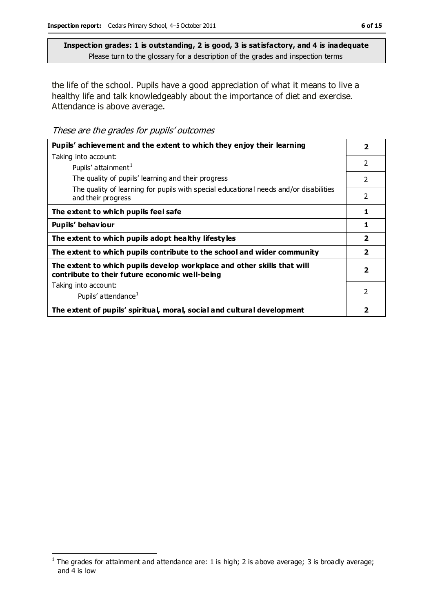the life of the school. Pupils have a good appreciation of what it means to live a healthy life and talk knowledgeably about the importance of diet and exercise. Attendance is above average.

These are the grades for pupils' outcomes

| Pupils' achievement and the extent to which they enjoy their learning                                                     | 2                       |
|---------------------------------------------------------------------------------------------------------------------------|-------------------------|
| Taking into account:                                                                                                      |                         |
| Pupils' attainment <sup>1</sup>                                                                                           | 2                       |
| The quality of pupils' learning and their progress                                                                        | $\mathcal{P}$           |
| The quality of learning for pupils with special educational needs and/or disabilities<br>and their progress               | 2                       |
| The extent to which pupils feel safe                                                                                      | 1                       |
| Pupils' behaviour                                                                                                         | 1                       |
| The extent to which pupils adopt healthy lifestyles                                                                       | $\overline{\mathbf{2}}$ |
| The extent to which pupils contribute to the school and wider community                                                   | 2                       |
| The extent to which pupils develop workplace and other skills that will<br>contribute to their future economic well-being | 2                       |
| Taking into account:                                                                                                      |                         |
| Pupils' attendance <sup>1</sup>                                                                                           | $\mathcal{P}$           |
| The extent of pupils' spiritual, moral, social and cultural development                                                   | 2                       |

 $\overline{a}$ 

<sup>&</sup>lt;sup>1</sup> The grades for attainment and attendance are: 1 is high; 2 is above average; 3 is broadly average; and 4 is low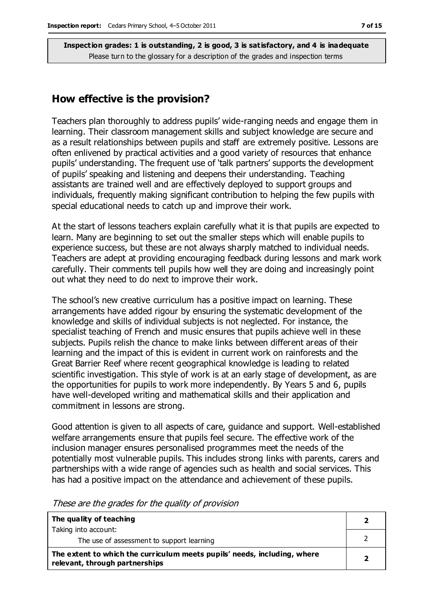#### **How effective is the provision?**

Teachers plan thoroughly to address pupils' wide-ranging needs and engage them in learning. Their classroom management skills and subject knowledge are secure and as a result relationships between pupils and staff are extremely positive. Lessons are often enlivened by practical activities and a good variety of resources that enhance pupils' understanding. The frequent use of 'talk partners' supports the development of pupils' speaking and listening and deepens their understanding. Teaching assistants are trained well and are effectively deployed to support groups and individuals, frequently making significant contribution to helping the few pupils with special educational needs to catch up and improve their work.

At the start of lessons teachers explain carefully what it is that pupils are expected to learn. Many are beginning to set out the smaller steps which will enable pupils to experience success, but these are not always sharply matched to individual needs. Teachers are adept at providing encouraging feedback during lessons and mark work carefully. Their comments tell pupils how well they are doing and increasingly point out what they need to do next to improve their work.

The school's new creative curriculum has a positive impact on learning. These arrangements have added rigour by ensuring the systematic development of the knowledge and skills of individual subjects is not neglected. For instance, the specialist teaching of French and music ensures that pupils achieve well in these subjects. Pupils relish the chance to make links between different areas of their learning and the impact of this is evident in current work on rainforests and the Great Barrier Reef where recent geographical knowledge is leading to related scientific investigation. This style of work is at an early stage of development, as are the opportunities for pupils to work more independently. By Years 5 and 6, pupils have well-developed writing and mathematical skills and their application and commitment in lessons are strong.

Good attention is given to all aspects of care, guidance and support. Well-established welfare arrangements ensure that pupils feel secure. The effective work of the inclusion manager ensures personalised programmes meet the needs of the potentially most vulnerable pupils. This includes strong links with parents, carers and partnerships with a wide range of agencies such as health and social services. This has had a positive impact on the attendance and achievement of these pupils.

| The quality of teaching                                                                                    |  |
|------------------------------------------------------------------------------------------------------------|--|
| Taking into account:                                                                                       |  |
| The use of assessment to support learning                                                                  |  |
| The extent to which the curriculum meets pupils' needs, including, where<br>relevant, through partnerships |  |

These are the grades for the quality of provision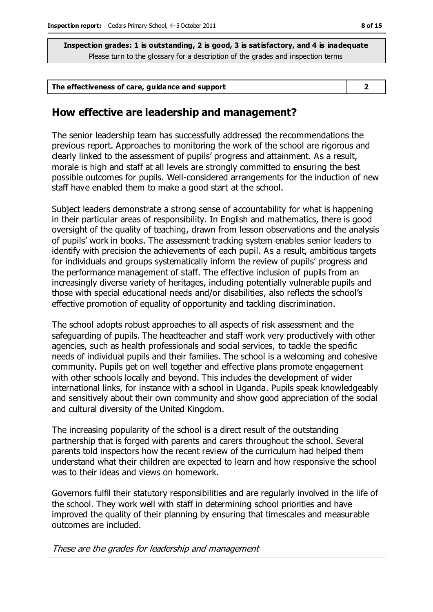| The effectiveness of care, guidance and support |
|-------------------------------------------------|
|-------------------------------------------------|

#### **How effective are leadership and management?**

The senior leadership team has successfully addressed the recommendations the previous report. Approaches to monitoring the work of the school are rigorous and clearly linked to the assessment of pupils' progress and attainment. As a result, morale is high and staff at all levels are strongly committed to ensuring the best possible outcomes for pupils. Well-considered arrangements for the induction of new staff have enabled them to make a good start at the school.

Subject leaders demonstrate a strong sense of accountability for what is happening in their particular areas of responsibility. In English and mathematics, there is good oversight of the quality of teaching, drawn from lesson observations and the analysis of pupils' work in books. The assessment tracking system enables senior leaders to identify with precision the achievements of each pupil. As a result, ambitious targets for individuals and groups systematically inform the review of pupils' progress and the performance management of staff. The effective inclusion of pupils from an increasingly diverse variety of heritages, including potentially vulnerable pupils and those with special educational needs and/or disabilities, also reflects the school's effective promotion of equality of opportunity and tackling discrimination.

The school adopts robust approaches to all aspects of risk assessment and the safeguarding of pupils. The headteacher and staff work very productively with other agencies, such as health professionals and social services, to tackle the specific needs of individual pupils and their families. The school is a welcoming and cohesive community. Pupils get on well together and effective plans promote engagement with other schools locally and beyond. This includes the development of wider international links, for instance with a school in Uganda. Pupils speak knowledgeably and sensitively about their own community and show good appreciation of the social and cultural diversity of the United Kingdom.

The increasing popularity of the school is a direct result of the outstanding partnership that is forged with parents and carers throughout the school. Several parents told inspectors how the recent review of the curriculum had helped them understand what their children are expected to learn and how responsive the school was to their ideas and views on homework.

Governors fulfil their statutory responsibilities and are regularly involved in the life of the school. They work well with staff in determining school priorities and have improved the quality of their planning by ensuring that timescales and measurable outcomes are included.

These are the grades for leadership and management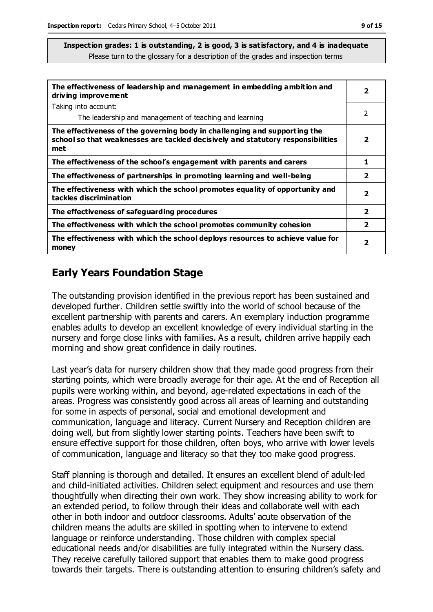| The effectiveness of leadership and management in embedding ambition and<br>driving improvement                                                                     | $\overline{\mathbf{2}}$ |
|---------------------------------------------------------------------------------------------------------------------------------------------------------------------|-------------------------|
| Taking into account:                                                                                                                                                |                         |
| The leadership and management of teaching and learning                                                                                                              | 2                       |
| The effectiveness of the governing body in challenging and supporting the<br>school so that weaknesses are tackled decisively and statutory responsibilities<br>met | 2                       |
| The effectiveness of the school's engagement with parents and carers                                                                                                | 1                       |
| The effectiveness of partnerships in promoting learning and well-being                                                                                              | $\mathbf{2}$            |
| The effectiveness with which the school promotes equality of opportunity and<br>tackles discrimination                                                              | $\overline{\mathbf{2}}$ |
| The effectiveness of safeguarding procedures                                                                                                                        | $\overline{2}$          |
| The effectiveness with which the school promotes community cohesion                                                                                                 | $\overline{\mathbf{2}}$ |
| The effectiveness with which the school deploys resources to achieve value for<br>money                                                                             | 2                       |

## **Early Years Foundation Stage**

The outstanding provision identified in the previous report has been sustained and developed further. Children settle swiftly into the world of school because of the excellent partnership with parents and carers. An exemplary induction programme enables adults to develop an excellent knowledge of every individual starting in the nursery and forge close links with families. As a result, children arrive happily each morning and show great confidence in daily routines.

Last year's data for nursery children show that they made good progress from their starting points, which were broadly average for their age. At the end of Reception all pupils were working within, and beyond, age-related expectations in each of the areas. Progress was consistently good across all areas of learning and outstanding for some in aspects of personal, social and emotional development and communication, language and literacy. Current Nursery and Reception children are doing well, but from slightly lower starting points. Teachers have been swift to ensure effective support for those children, often boys, who arrive with lower levels of communication, language and literacy so that they too make good progress.

Staff planning is thorough and detailed. It ensures an excellent blend of adult-led and child-initiated activities. Children select equipment and resources and use them thoughtfully when directing their own work. They show increasing ability to work for an extended period, to follow through their ideas and collaborate well with each other in both indoor and outdoor classrooms. Adults' acute observation of the children means the adults are skilled in spotting when to intervene to extend language or reinforce understanding. Those children with complex special educational needs and/or disabilities are fully integrated within the Nursery class. They receive carefully tailored support that enables them to make good progress towards their targets. There is outstanding attention to ensuring children's safety and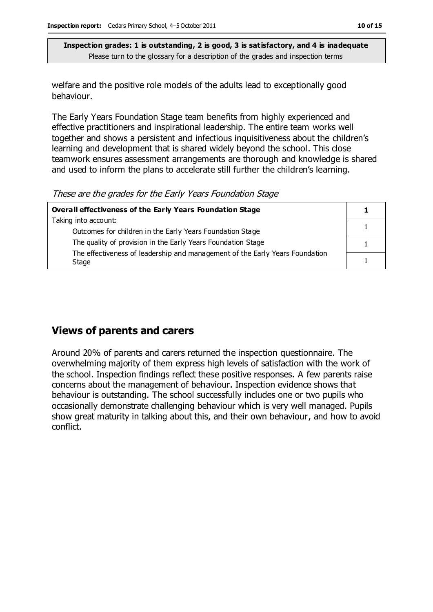welfare and the positive role models of the adults lead to exceptionally good behaviour.

The Early Years Foundation Stage team benefits from highly experienced and effective practitioners and inspirational leadership. The entire team works well together and shows a persistent and infectious inquisitiveness about the children's learning and development that is shared widely beyond the school. This close teamwork ensures assessment arrangements are thorough and knowledge is shared and used to inform the plans to accelerate still further the children's learning.

These are the grades for the Early Years Foundation Stage

| Overall effectiveness of the Early Years Foundation Stage                             |  |
|---------------------------------------------------------------------------------------|--|
| Taking into account:                                                                  |  |
| Outcomes for children in the Early Years Foundation Stage                             |  |
| The quality of provision in the Early Years Foundation Stage                          |  |
| The effectiveness of leadership and management of the Early Years Foundation<br>Stage |  |

## **Views of parents and carers**

Around 20% of parents and carers returned the inspection questionnaire. The overwhelming majority of them express high levels of satisfaction with the work of the school. Inspection findings reflect these positive responses. A few parents raise concerns about the management of behaviour. Inspection evidence shows that behaviour is outstanding. The school successfully includes one or two pupils who occasionally demonstrate challenging behaviour which is very well managed. Pupils show great maturity in talking about this, and their own behaviour, and how to avoid conflict.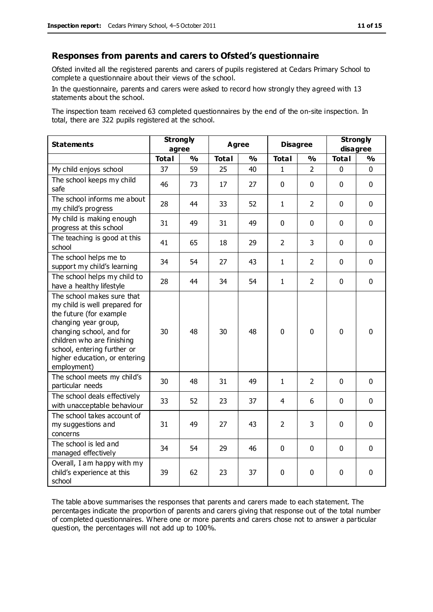#### **Responses from parents and carers to Ofsted's questionnaire**

Ofsted invited all the registered parents and carers of pupils registered at Cedars Primary School to complete a questionnaire about their views of the school.

In the questionnaire, parents and carers were asked to record how strongly they agreed with 13 statements about the school.

The inspection team received 63 completed questionnaires by the end of the on-site inspection. In total, there are 322 pupils registered at the school.

| <b>Statements</b>                                                                                                                                                                                                                                       | <b>Strongly</b><br>agree |               | <b>Agree</b> |               | <b>Disagree</b> |                | <b>Strongly</b><br>disagree |               |
|---------------------------------------------------------------------------------------------------------------------------------------------------------------------------------------------------------------------------------------------------------|--------------------------|---------------|--------------|---------------|-----------------|----------------|-----------------------------|---------------|
|                                                                                                                                                                                                                                                         | <b>Total</b>             | $\frac{0}{0}$ | <b>Total</b> | $\frac{0}{0}$ | <b>Total</b>    | $\frac{0}{0}$  | <b>Total</b>                | $\frac{1}{2}$ |
| My child enjoys school                                                                                                                                                                                                                                  | 37                       | 59            | 25           | 40            | 1               | $\mathcal{P}$  | 0                           | $\Omega$      |
| The school keeps my child<br>safe                                                                                                                                                                                                                       | 46                       | 73            | 17           | 27            | $\mathbf{0}$    | $\mathbf 0$    | $\mathbf{0}$                | $\mathbf 0$   |
| The school informs me about<br>my child's progress                                                                                                                                                                                                      | 28                       | 44            | 33           | 52            | $\mathbf{1}$    | $\overline{2}$ | $\mathbf 0$                 | $\mathbf 0$   |
| My child is making enough<br>progress at this school                                                                                                                                                                                                    | 31                       | 49            | 31           | 49            | 0               | 0              | $\mathbf 0$                 | $\mathbf 0$   |
| The teaching is good at this<br>school                                                                                                                                                                                                                  | 41                       | 65            | 18           | 29            | $\overline{2}$  | 3              | $\mathbf 0$                 | $\mathbf 0$   |
| The school helps me to<br>support my child's learning                                                                                                                                                                                                   | 34                       | 54            | 27           | 43            | $\mathbf{1}$    | 2              | $\mathbf 0$                 | $\mathbf 0$   |
| The school helps my child to<br>have a healthy lifestyle                                                                                                                                                                                                | 28                       | 44            | 34           | 54            | $\mathbf{1}$    | $\overline{2}$ | $\mathbf 0$                 | $\mathbf 0$   |
| The school makes sure that<br>my child is well prepared for<br>the future (for example<br>changing year group,<br>changing school, and for<br>children who are finishing<br>school, entering further or<br>higher education, or entering<br>employment) | 30                       | 48            | 30           | 48            | 0               | $\mathbf 0$    | $\mathbf 0$                 | $\mathbf 0$   |
| The school meets my child's<br>particular needs                                                                                                                                                                                                         | 30                       | 48            | 31           | 49            | 1               | $\overline{2}$ | $\mathbf 0$                 | $\mathbf 0$   |
| The school deals effectively<br>with unacceptable behaviour                                                                                                                                                                                             | 33                       | 52            | 23           | 37            | 4               | 6              | $\mathbf 0$                 | $\mathbf 0$   |
| The school takes account of<br>my suggestions and<br>concerns                                                                                                                                                                                           | 31                       | 49            | 27           | 43            | $\overline{2}$  | 3              | $\mathbf 0$                 | $\mathbf 0$   |
| The school is led and<br>managed effectively                                                                                                                                                                                                            | 34                       | 54            | 29           | 46            | $\pmb{0}$       | $\mathbf 0$    | $\mathbf 0$                 | $\mathbf 0$   |
| Overall, I am happy with my<br>child's experience at this<br>school                                                                                                                                                                                     | 39                       | 62            | 23           | 37            | 0               | $\mathbf 0$    | $\mathbf 0$                 | 0             |

The table above summarises the responses that parents and carers made to each statement. The percentages indicate the proportion of parents and carers giving that response out of the total number of completed questionnaires. Where one or more parents and carers chose not to answer a particular question, the percentages will not add up to 100%.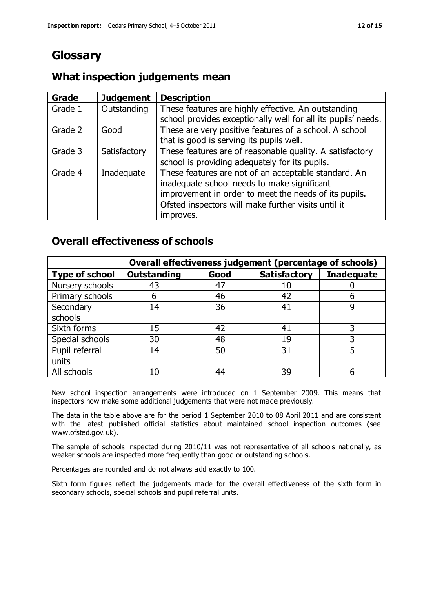# **Glossary**

#### **What inspection judgements mean**

| <b>Grade</b> | <b>Judgement</b> | <b>Description</b>                                            |
|--------------|------------------|---------------------------------------------------------------|
| Grade 1      | Outstanding      | These features are highly effective. An outstanding           |
|              |                  | school provides exceptionally well for all its pupils' needs. |
| Grade 2      | Good             | These are very positive features of a school. A school        |
|              |                  | that is good is serving its pupils well.                      |
| Grade 3      | Satisfactory     | These features are of reasonable quality. A satisfactory      |
|              |                  | school is providing adequately for its pupils.                |
| Grade 4      | Inadequate       | These features are not of an acceptable standard. An          |
|              |                  | inadequate school needs to make significant                   |
|              |                  | improvement in order to meet the needs of its pupils.         |
|              |                  | Ofsted inspectors will make further visits until it           |
|              |                  | improves.                                                     |

#### **Overall effectiveness of schools**

|                       |                    |      | Overall effectiveness judgement (percentage of schools) |                   |
|-----------------------|--------------------|------|---------------------------------------------------------|-------------------|
| <b>Type of school</b> | <b>Outstanding</b> | Good | <b>Satisfactory</b>                                     | <b>Inadequate</b> |
| Nursery schools       | 43                 | 47   |                                                         |                   |
| Primary schools       | h                  | 46   | 42                                                      |                   |
| Secondary             | 14                 | 36   | 41                                                      |                   |
| schools               |                    |      |                                                         |                   |
| Sixth forms           | 15                 | 42   | 41                                                      | 3                 |
| Special schools       | 30                 | 48   | 19                                                      |                   |
| Pupil referral        | 14                 | 50   | 31                                                      |                   |
| units                 |                    |      |                                                         |                   |
| All schools           | 10                 | 44   | 39                                                      |                   |

New school inspection arrangements were introduced on 1 September 2009. This means that inspectors now make some additional judgements that were not made previously.

The data in the table above are for the period 1 September 2010 to 08 April 2011 and are consistent with the latest published official statistics about maintained school inspection outcomes (see www.ofsted.gov.uk).

The sample of schools inspected during 2010/11 was not representative of all schools nationally, as weaker schools are inspected more frequently than good or outstanding schools.

Percentages are rounded and do not always add exactly to 100.

Sixth form figures reflect the judgements made for the overall effectiveness of the sixth form in secondary schools, special schools and pupil referral units.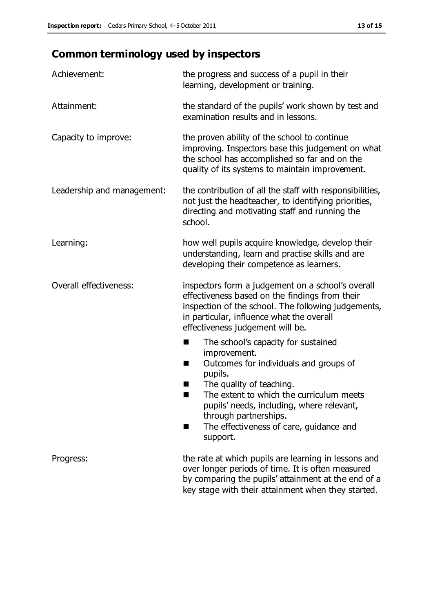# **Common terminology used by inspectors**

| Achievement:               | the progress and success of a pupil in their<br>learning, development or training.                                                                                                                                                                                                                                             |  |  |
|----------------------------|--------------------------------------------------------------------------------------------------------------------------------------------------------------------------------------------------------------------------------------------------------------------------------------------------------------------------------|--|--|
| Attainment:                | the standard of the pupils' work shown by test and<br>examination results and in lessons.                                                                                                                                                                                                                                      |  |  |
| Capacity to improve:       | the proven ability of the school to continue<br>improving. Inspectors base this judgement on what<br>the school has accomplished so far and on the<br>quality of its systems to maintain improvement.                                                                                                                          |  |  |
| Leadership and management: | the contribution of all the staff with responsibilities,<br>not just the headteacher, to identifying priorities,<br>directing and motivating staff and running the<br>school.                                                                                                                                                  |  |  |
| Learning:                  | how well pupils acquire knowledge, develop their<br>understanding, learn and practise skills and are<br>developing their competence as learners.                                                                                                                                                                               |  |  |
| Overall effectiveness:     | inspectors form a judgement on a school's overall<br>effectiveness based on the findings from their<br>inspection of the school. The following judgements,<br>in particular, influence what the overall<br>effectiveness judgement will be.                                                                                    |  |  |
|                            | The school's capacity for sustained<br>improvement.<br>Outcomes for individuals and groups of<br>ш<br>pupils.<br>The quality of teaching.<br>The extent to which the curriculum meets<br>a s<br>pupils' needs, including, where relevant,<br>through partnerships.<br>The effectiveness of care, guidance and<br>■<br>support. |  |  |
| Progress:                  | the rate at which pupils are learning in lessons and<br>over longer periods of time. It is often measured<br>by comparing the pupils' attainment at the end of a<br>key stage with their attainment when they started.                                                                                                         |  |  |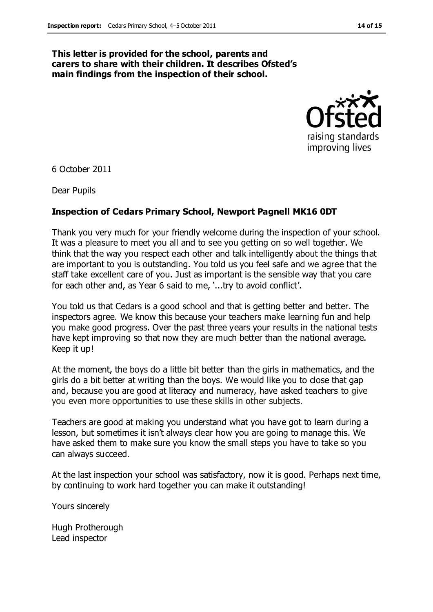#### **This letter is provided for the school, parents and carers to share with their children. It describes Ofsted's main findings from the inspection of their school.**



6 October 2011

Dear Pupils

#### **Inspection of Cedars Primary School, Newport Pagnell MK16 0DT**

Thank you very much for your friendly welcome during the inspection of your school. It was a pleasure to meet you all and to see you getting on so well together. We think that the way you respect each other and talk intelligently about the things that are important to you is outstanding. You told us you feel safe and we agree that the staff take excellent care of you. Just as important is the sensible way that you care for each other and, as Year 6 said to me, '...try to avoid conflict'.

You told us that Cedars is a good school and that is getting better and better. The inspectors agree. We know this because your teachers make learning fun and help you make good progress. Over the past three years your results in the national tests have kept improving so that now they are much better than the national average. Keep it up!

At the moment, the boys do a little bit better than the girls in mathematics, and the girls do a bit better at writing than the boys. We would like you to close that gap and, because you are good at literacy and numeracy, have asked teachers to give you even more opportunities to use these skills in other subjects.

Teachers are good at making you understand what you have got to learn during a lesson, but sometimes it isn't always clear how you are going to manage this. We have asked them to make sure you know the small steps you have to take so you can always succeed.

At the last inspection your school was satisfactory, now it is good. Perhaps next time, by continuing to work hard together you can make it outstanding!

Yours sincerely

Hugh Protherough Lead inspector